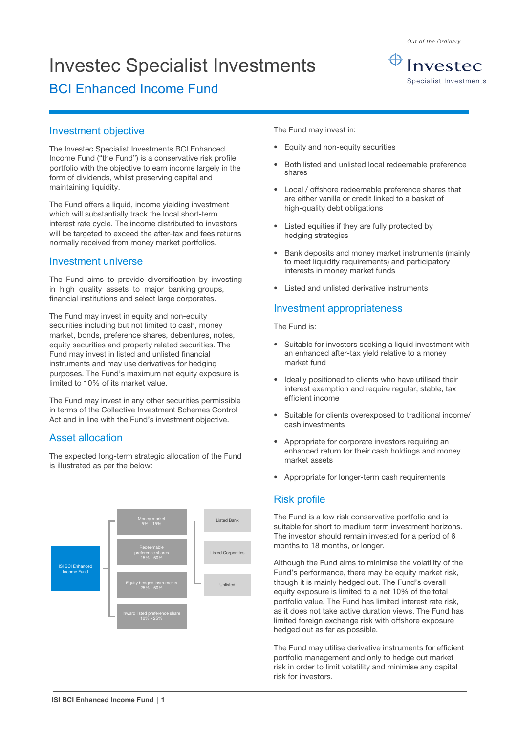Investec Specialist Investments

# BCI Enhanced Income Fund



Investec Specialist Investments

#### Investment objective

The Investec Specialist Investments BCI Enhanced Income Fund ("the Fund") is a conservative risk profile portfolio with the objective to earn income largely in the form of dividends, whilst preserving capital and maintaining liquidity.

The Fund offers a liquid, income yielding investment which will substantially track the local short-term interest rate cycle. The income distributed to investors will be targeted to exceed the after-tax and fees returns normally received from money market portfolios.

#### Investment universe

The Fund aims to provide diversification by investing in high quality assets to major banking groups, financial institutions and select large corporates.

The Fund may invest in equity and non-equity securities including but not limited to cash, money market, bonds, preference shares, debentures, notes, equity securities and property related securities. The Fund may invest in listed and unlisted financial instruments and may use derivatives for hedging purposes. The Fund's maximum net equity exposure is limited to 10% of its market value.

The Fund may invest in any other securities permissible in terms of the Collective Investment Schemes Control Act and in line with the Fund's investment objective.

#### Asset allocation

The expected long-term strategic allocation of the Fund is illustrated as per the below:



The Fund may invest in:

- Equity and non-equity securities
- Both listed and unlisted local redeemable preference shares
- Local / offshore redeemable preference shares that are either vanilla or credit linked to a basket of high-quality debt obligations
- Listed equities if they are fully protected by hedging strategies
- Bank deposits and money market instruments (mainly to meet liquidity requirements) and participatory interests in money market funds
- Listed and unlisted derivative instruments

### Investment appropriateness

The Fund is:

- Suitable for investors seeking a liquid investment with an enhanced after-tax yield relative to a money market fund
- Ideally positioned to clients who have utilised their interest exemption and require regular, stable, tax efficient income
- Suitable for clients overexposed to traditional income/ cash investments
- Appropriate for corporate investors requiring an enhanced return for their cash holdings and money market assets
- Appropriate for longer-term cash requirements

## Risk profile

The Fund is a low risk conservative portfolio and is suitable for short to medium term investment horizons. The investor should remain invested for a period of 6 months to 18 months, or longer.

Although the Fund aims to minimise the volatility of the Fund's performance, there may be equity market risk, though it is mainly hedged out. The Fund's overall equity exposure is limited to a net 10% of the total portfolio value. The Fund has limited interest rate risk, as it does not take active duration views. The Fund has limited foreign exchange risk with offshore exposure hedged out as far as possible.

The Fund may utilise derivative instruments for efficient portfolio management and only to hedge out market risk in order to limit volatility and minimise any capital risk for investors.